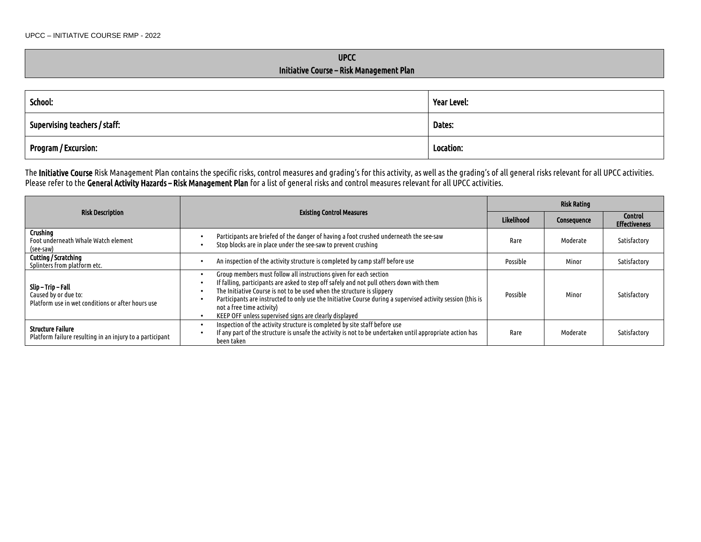## UPCC Initiative Course – Risk Management Plan

| School:                       | Year Level: |  |
|-------------------------------|-------------|--|
| Supervising teachers / staff: | Dates:      |  |
| Program / Excursion:          | Location:   |  |

The In<mark>itiative Course</mark> Risk Management Plan contains the specific risks, control measures and grading's for this activity, as well as the grading's of all general risks relevant for all UPCC activities. Please refer to the General Activity Hazards – Risk Management Plan for a list of general risks and control measures relevant for all UPCC activities.

|                                                                                                                                                                                                                                                                                                                                                                   |                                                                                                                                                                                                                                                                                                                                                                                                                                               |            | <b>Risk Rating</b> |                                 |  |
|-------------------------------------------------------------------------------------------------------------------------------------------------------------------------------------------------------------------------------------------------------------------------------------------------------------------------------------------------------------------|-----------------------------------------------------------------------------------------------------------------------------------------------------------------------------------------------------------------------------------------------------------------------------------------------------------------------------------------------------------------------------------------------------------------------------------------------|------------|--------------------|---------------------------------|--|
| <b>Risk Description</b>                                                                                                                                                                                                                                                                                                                                           | <b>Existing Control Measures</b>                                                                                                                                                                                                                                                                                                                                                                                                              | Likelihood | Consequence        | Control<br><b>Effectiveness</b> |  |
| Crushing<br>Participants are briefed of the danger of having a foot crushed underneath the see-saw<br>Foot underneath Whale Watch element<br>Stop blocks are in place under the see-saw to prevent crushing<br>(see-saw)<br>Cutting / Scratching<br>An inspection of the activity structure is completed by camp staff before use<br>Splinters from platform etc. |                                                                                                                                                                                                                                                                                                                                                                                                                                               | Rare       | Moderate           | Satisfactory                    |  |
|                                                                                                                                                                                                                                                                                                                                                                   |                                                                                                                                                                                                                                                                                                                                                                                                                                               | Possible   | Minor              | Satisfactory                    |  |
| Slip – Trip – Fall<br>Caused by or due to:<br>Platform use in wet conditions or after hours use                                                                                                                                                                                                                                                                   | Group members must follow all instructions given for each section<br>If falling, participants are asked to step off safely and not pull others down with them<br>The Initiative Course is not to be used when the structure is slippery<br>Participants are instructed to only use the Initiative Course during a supervised activity session (this is<br>not a free time activity)<br>KEEP OFF unless supervised signs are clearly displayed | Possible   | Minor              | Satisfactory                    |  |
| Inspection of the activity structure is completed by site staff before use<br><b>Structure Failure</b><br>If any part of the structure is unsafe the activity is not to be undertaken until appropriate action has<br>Platform failure resulting in an injury to a participant<br>been taken                                                                      |                                                                                                                                                                                                                                                                                                                                                                                                                                               | Rare       | Moderate           | Satisfactory                    |  |